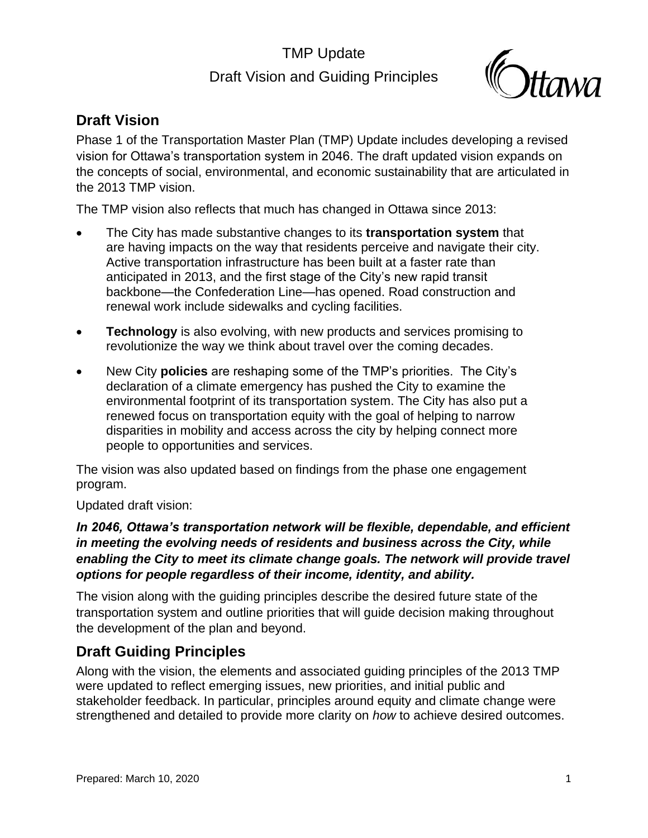## TMP Update Draft Vision and Guiding Principles



### **Draft Vision**

Phase 1 of the Transportation Master Plan (TMP) Update includes developing a revised vision for Ottawa's transportation system in 2046. The draft updated vision expands on the concepts of social, environmental, and economic sustainability that are articulated in the 2013 TMP vision.

The TMP vision also reflects that much has changed in Ottawa since 2013:

- The City has made substantive changes to its **transportation system** that are having impacts on the way that residents perceive and navigate their city. Active transportation infrastructure has been built at a faster rate than anticipated in 2013, and the first stage of the City's new rapid transit backbone—the Confederation Line—has opened. Road construction and renewal work include sidewalks and cycling facilities.
- **Technology** is also evolving, with new products and services promising to revolutionize the way we think about travel over the coming decades.
- New City **policies** are reshaping some of the TMP's priorities. The City's declaration of a climate emergency has pushed the City to examine the environmental footprint of its transportation system. The City has also put a renewed focus on transportation equity with the goal of helping to narrow disparities in mobility and access across the city by helping connect more people to opportunities and services.

The vision was also updated based on findings from the phase one engagement program.

Updated draft vision:

#### *In 2046, Ottawa's transportation network will be flexible, dependable, and efficient in meeting the evolving needs of residents and business across the City, while*  enabling the City to meet its climate change goals. The network will provide travel *options for people regardless of their income, identity, and ability.*

The vision along with the guiding principles describe the desired future state of the transportation system and outline priorities that will guide decision making throughout the development of the plan and beyond.

## **Draft Guiding Principles**

Along with the vision, the elements and associated guiding principles of the 2013 TMP were updated to reflect emerging issues, new priorities, and initial public and stakeholder feedback. In particular, principles around equity and climate change were strengthened and detailed to provide more clarity on *how* to achieve desired outcomes.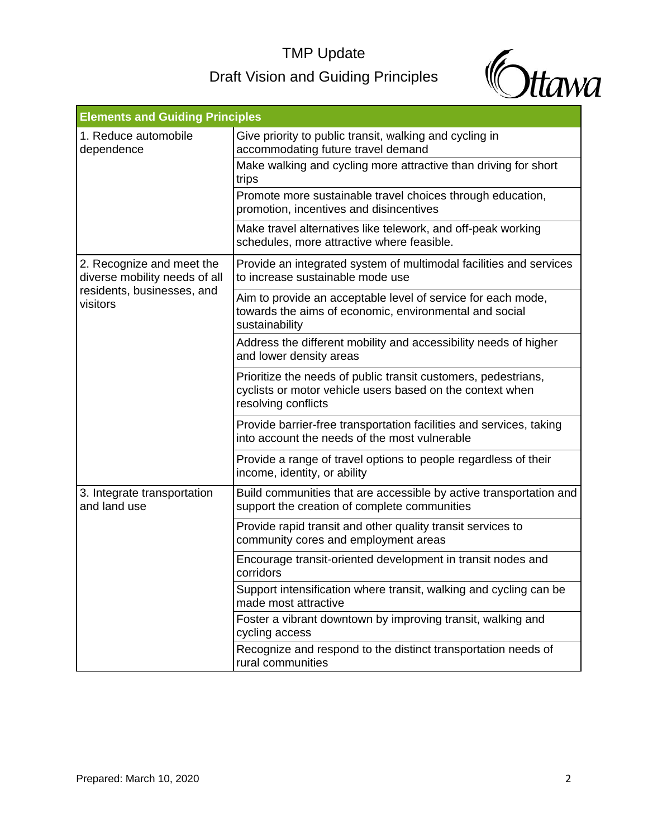# TMP Update Draft Vision and Guiding Principles



| <b>Elements and Guiding Principles</b>                                                               |                                                                                                                                                    |  |
|------------------------------------------------------------------------------------------------------|----------------------------------------------------------------------------------------------------------------------------------------------------|--|
| 1. Reduce automobile<br>dependence                                                                   | Give priority to public transit, walking and cycling in<br>accommodating future travel demand                                                      |  |
|                                                                                                      | Make walking and cycling more attractive than driving for short<br>trips                                                                           |  |
|                                                                                                      | Promote more sustainable travel choices through education,<br>promotion, incentives and disincentives                                              |  |
|                                                                                                      | Make travel alternatives like telework, and off-peak working<br>schedules, more attractive where feasible.                                         |  |
| 2. Recognize and meet the<br>diverse mobility needs of all<br>residents, businesses, and<br>visitors | Provide an integrated system of multimodal facilities and services<br>to increase sustainable mode use                                             |  |
|                                                                                                      | Aim to provide an acceptable level of service for each mode,<br>towards the aims of economic, environmental and social<br>sustainability           |  |
|                                                                                                      | Address the different mobility and accessibility needs of higher<br>and lower density areas                                                        |  |
|                                                                                                      | Prioritize the needs of public transit customers, pedestrians,<br>cyclists or motor vehicle users based on the context when<br>resolving conflicts |  |
|                                                                                                      | Provide barrier-free transportation facilities and services, taking<br>into account the needs of the most vulnerable                               |  |
|                                                                                                      | Provide a range of travel options to people regardless of their<br>income, identity, or ability                                                    |  |
| 3. Integrate transportation<br>and land use                                                          | Build communities that are accessible by active transportation and<br>support the creation of complete communities                                 |  |
|                                                                                                      | Provide rapid transit and other quality transit services to<br>community cores and employment areas                                                |  |
|                                                                                                      | Encourage transit-oriented development in transit nodes and<br>corridors                                                                           |  |
|                                                                                                      | Support intensification where transit, walking and cycling can be<br>made most attractive                                                          |  |
|                                                                                                      | Foster a vibrant downtown by improving transit, walking and<br>cycling access                                                                      |  |
|                                                                                                      | Recognize and respond to the distinct transportation needs of<br>rural communities                                                                 |  |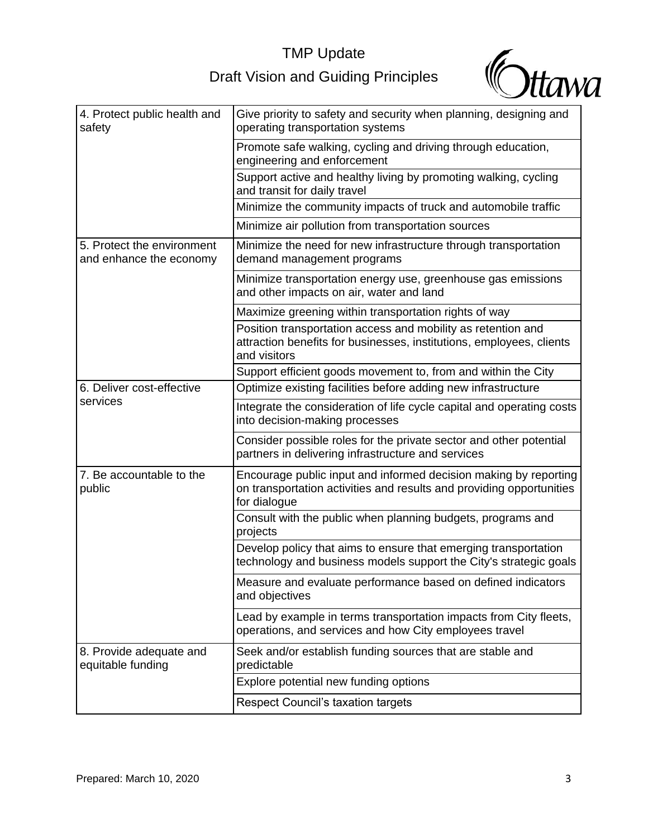# TMP Update

# Draft Vision and Guiding Principles



| 4. Protect public health and<br>safety                | Give priority to safety and security when planning, designing and<br>operating transportation systems                                                    |
|-------------------------------------------------------|----------------------------------------------------------------------------------------------------------------------------------------------------------|
|                                                       | Promote safe walking, cycling and driving through education,<br>engineering and enforcement                                                              |
|                                                       | Support active and healthy living by promoting walking, cycling<br>and transit for daily travel                                                          |
|                                                       | Minimize the community impacts of truck and automobile traffic                                                                                           |
|                                                       | Minimize air pollution from transportation sources                                                                                                       |
| 5. Protect the environment<br>and enhance the economy | Minimize the need for new infrastructure through transportation<br>demand management programs                                                            |
|                                                       | Minimize transportation energy use, greenhouse gas emissions<br>and other impacts on air, water and land                                                 |
|                                                       | Maximize greening within transportation rights of way                                                                                                    |
|                                                       | Position transportation access and mobility as retention and<br>attraction benefits for businesses, institutions, employees, clients<br>and visitors     |
|                                                       | Support efficient goods movement to, from and within the City                                                                                            |
| 6. Deliver cost-effective<br>services                 | Optimize existing facilities before adding new infrastructure                                                                                            |
|                                                       | Integrate the consideration of life cycle capital and operating costs<br>into decision-making processes                                                  |
|                                                       | Consider possible roles for the private sector and other potential<br>partners in delivering infrastructure and services                                 |
| 7. Be accountable to the<br>public                    | Encourage public input and informed decision making by reporting<br>on transportation activities and results and providing opportunities<br>for dialogue |
|                                                       | Consult with the public when planning budgets, programs and<br>projects                                                                                  |
|                                                       | Develop policy that aims to ensure that emerging transportation<br>technology and business models support the City's strategic goals                     |
|                                                       | Measure and evaluate performance based on defined indicators<br>and objectives                                                                           |
|                                                       | Lead by example in terms transportation impacts from City fleets,<br>operations, and services and how City employees travel                              |
| 8. Provide adequate and<br>equitable funding          | Seek and/or establish funding sources that are stable and<br>predictable                                                                                 |
|                                                       | Explore potential new funding options                                                                                                                    |
|                                                       | Respect Council's taxation targets                                                                                                                       |